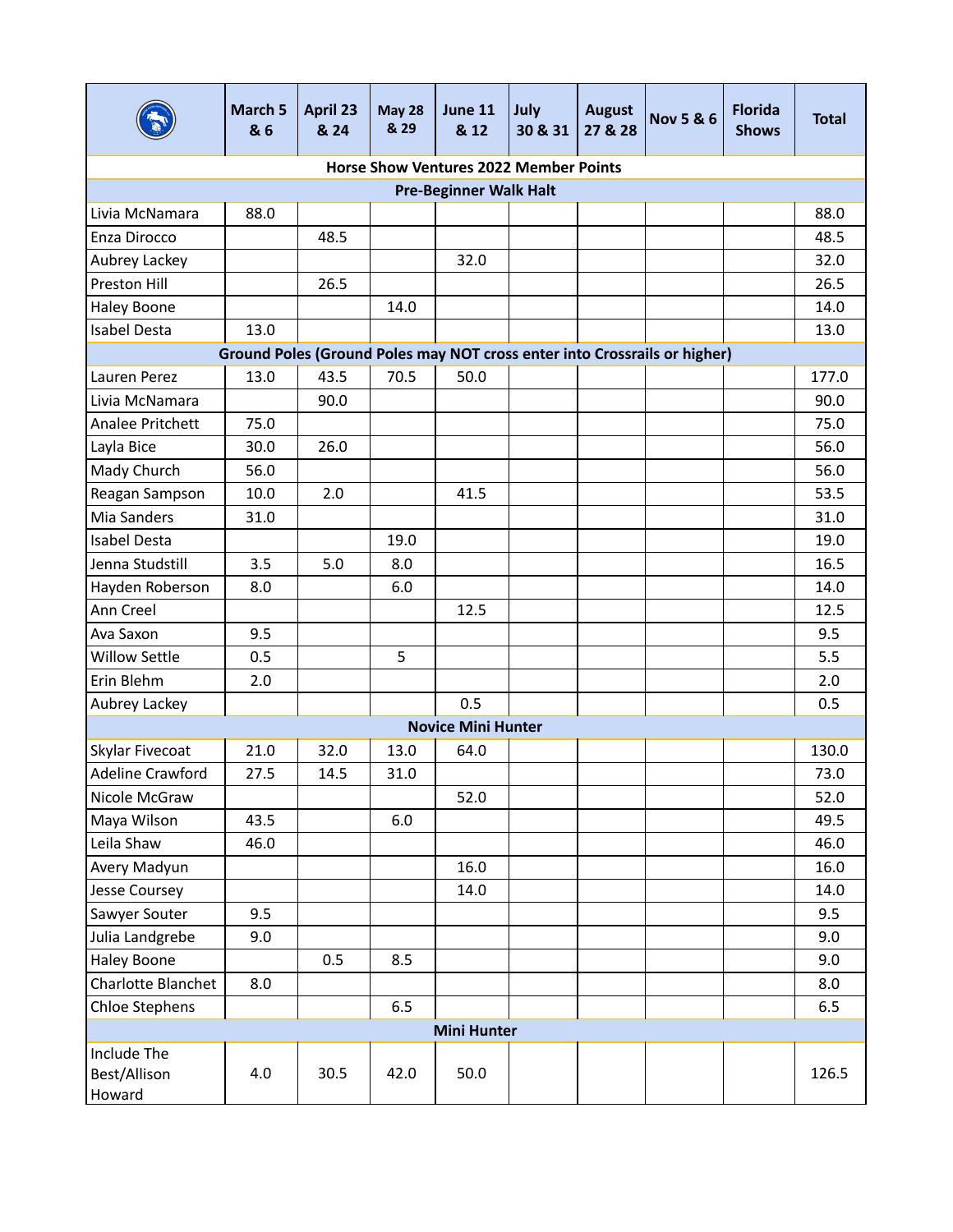|                                       | March 5<br>& 6 | <b>April 23</b><br>& 24 | <b>May 28</b><br>& 29 | June 11<br>& 12                               | July<br>30 & 31 | <b>August</b><br>27 & 28 | <b>Nov 5 &amp; 6</b>                                                      | <b>Florida</b><br><b>Shows</b> | <b>Total</b> |
|---------------------------------------|----------------|-------------------------|-----------------------|-----------------------------------------------|-----------------|--------------------------|---------------------------------------------------------------------------|--------------------------------|--------------|
|                                       |                |                         |                       | <b>Horse Show Ventures 2022 Member Points</b> |                 |                          |                                                                           |                                |              |
|                                       |                |                         |                       | <b>Pre-Beginner Walk Halt</b>                 |                 |                          |                                                                           |                                |              |
| Livia McNamara                        | 88.0           |                         |                       |                                               |                 |                          |                                                                           |                                | 88.0         |
| Enza Dirocco                          |                | 48.5                    |                       |                                               |                 |                          |                                                                           |                                | 48.5         |
| Aubrey Lackey                         |                |                         |                       | 32.0                                          |                 |                          |                                                                           |                                | 32.0         |
| Preston Hill                          |                | 26.5                    |                       |                                               |                 |                          |                                                                           |                                | 26.5         |
| <b>Haley Boone</b>                    |                |                         | 14.0                  |                                               |                 |                          |                                                                           |                                | 14.0         |
| Isabel Desta                          | 13.0           |                         |                       |                                               |                 |                          |                                                                           |                                | 13.0         |
|                                       |                |                         |                       |                                               |                 |                          | Ground Poles (Ground Poles may NOT cross enter into Crossrails or higher) |                                |              |
| Lauren Perez                          | 13.0           | 43.5                    | 70.5                  | 50.0                                          |                 |                          |                                                                           |                                | 177.0        |
| Livia McNamara                        |                | 90.0                    |                       |                                               |                 |                          |                                                                           |                                | 90.0         |
| Analee Pritchett                      | 75.0           |                         |                       |                                               |                 |                          |                                                                           |                                | 75.0         |
| Layla Bice                            | 30.0           | 26.0                    |                       |                                               |                 |                          |                                                                           |                                | 56.0         |
| Mady Church                           | 56.0           |                         |                       |                                               |                 |                          |                                                                           |                                | 56.0         |
| Reagan Sampson                        | 10.0           | 2.0                     |                       | 41.5                                          |                 |                          |                                                                           |                                | 53.5         |
| Mia Sanders                           | 31.0           |                         |                       |                                               |                 |                          |                                                                           |                                | 31.0         |
| Isabel Desta                          |                |                         | 19.0                  |                                               |                 |                          |                                                                           |                                | 19.0         |
| Jenna Studstill                       | 3.5            | 5.0                     | 8.0                   |                                               |                 |                          |                                                                           |                                | 16.5         |
| Hayden Roberson                       | 8.0            |                         | 6.0                   |                                               |                 |                          |                                                                           |                                | 14.0         |
| Ann Creel                             |                |                         |                       | 12.5                                          |                 |                          |                                                                           |                                | 12.5         |
| Ava Saxon                             | 9.5            |                         |                       |                                               |                 |                          |                                                                           |                                | 9.5          |
| Willow Settle                         | 0.5            |                         | 5                     |                                               |                 |                          |                                                                           |                                | 5.5          |
| Erin Blehm                            | 2.0            |                         |                       |                                               |                 |                          |                                                                           |                                | 2.0          |
| Aubrey Lackey                         |                |                         |                       | 0.5                                           |                 |                          |                                                                           |                                | 0.5          |
|                                       |                |                         |                       | <b>Novice Mini Hunter</b>                     |                 |                          |                                                                           |                                |              |
| Skylar Fivecoat                       | 21.0           | 32.0                    | 13.0                  | 64.0                                          |                 |                          |                                                                           |                                | 130.0        |
| <b>Adeline Crawford</b>               | 27.5           | 14.5                    | 31.0                  |                                               |                 |                          |                                                                           |                                | 73.0         |
| Nicole McGraw                         |                |                         |                       | 52.0                                          |                 |                          |                                                                           |                                | 52.0         |
| Maya Wilson                           | 43.5           |                         | $6.0\,$               |                                               |                 |                          |                                                                           |                                | 49.5         |
| Leila Shaw                            | 46.0           |                         |                       |                                               |                 |                          |                                                                           |                                | 46.0         |
| Avery Madyun                          |                |                         |                       | 16.0                                          |                 |                          |                                                                           |                                | 16.0         |
| Jesse Coursey                         |                |                         |                       | 14.0                                          |                 |                          |                                                                           |                                | 14.0         |
| Sawyer Souter                         | 9.5            |                         |                       |                                               |                 |                          |                                                                           |                                | 9.5          |
| Julia Landgrebe                       | 9.0            |                         |                       |                                               |                 |                          |                                                                           |                                | 9.0          |
| <b>Haley Boone</b>                    |                | 0.5                     | 8.5                   |                                               |                 |                          |                                                                           |                                | 9.0          |
| Charlotte Blanchet                    | 8.0            |                         |                       |                                               |                 |                          |                                                                           |                                | 8.0          |
| Chloe Stephens                        |                |                         | 6.5                   |                                               |                 |                          |                                                                           |                                | 6.5          |
|                                       |                |                         |                       | <b>Mini Hunter</b>                            |                 |                          |                                                                           |                                |              |
| Include The<br>Best/Allison<br>Howard | 4.0            | 30.5                    | 42.0                  | 50.0                                          |                 |                          |                                                                           |                                | 126.5        |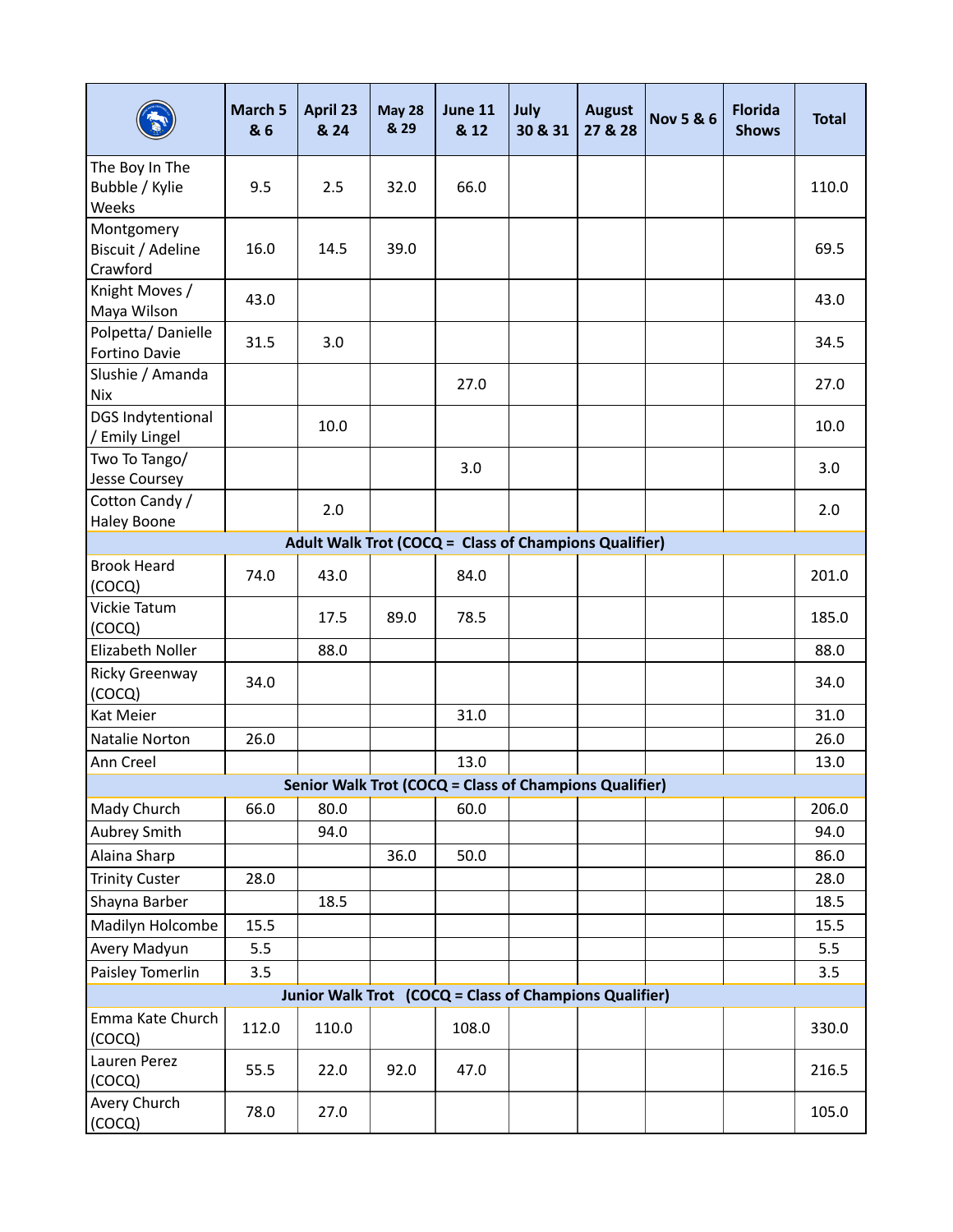|                                             | March 5<br>& 6 | <b>April 23</b><br>& 24 | <b>May 28</b><br>& 29 | June 11<br>& 12                                        | July<br>30 & 31 | <b>August</b><br>27 & 28 | <b>Nov 5 &amp; 6</b> | <b>Florida</b><br><b>Shows</b> | <b>Total</b> |
|---------------------------------------------|----------------|-------------------------|-----------------------|--------------------------------------------------------|-----------------|--------------------------|----------------------|--------------------------------|--------------|
| The Boy In The<br>Bubble / Kylie<br>Weeks   | 9.5            | 2.5                     | 32.0                  | 66.0                                                   |                 |                          |                      |                                | 110.0        |
| Montgomery<br>Biscuit / Adeline<br>Crawford | 16.0           | 14.5                    | 39.0                  |                                                        |                 |                          |                      |                                | 69.5         |
| Knight Moves /<br>Maya Wilson               | 43.0           |                         |                       |                                                        |                 |                          |                      |                                | 43.0         |
| Polpetta/Danielle<br>Fortino Davie          | 31.5           | 3.0                     |                       |                                                        |                 |                          |                      |                                | 34.5         |
| Slushie / Amanda<br><b>Nix</b>              |                |                         |                       | 27.0                                                   |                 |                          |                      |                                | 27.0         |
| <b>DGS Indytentional</b><br>/ Emily Lingel  |                | 10.0                    |                       |                                                        |                 |                          |                      |                                | 10.0         |
| Two To Tango/<br>Jesse Coursey              |                |                         |                       | 3.0                                                    |                 |                          |                      |                                | 3.0          |
| Cotton Candy /<br><b>Haley Boone</b>        |                | 2.0                     |                       |                                                        |                 |                          |                      |                                | 2.0          |
|                                             |                |                         |                       | Adult Walk Trot (COCQ = Class of Champions Qualifier)  |                 |                          |                      |                                |              |
| <b>Brook Heard</b><br>(COCQ)                | 74.0           | 43.0                    |                       | 84.0                                                   |                 |                          |                      |                                | 201.0        |
| Vickie Tatum<br>(COCQ)                      |                | 17.5                    | 89.0                  | 78.5                                                   |                 |                          |                      |                                | 185.0        |
| Elizabeth Noller                            |                | 88.0                    |                       |                                                        |                 |                          |                      |                                | 88.0         |
| Ricky Greenway<br>(COCQ)                    | 34.0           |                         |                       |                                                        |                 |                          |                      |                                | 34.0         |
| Kat Meier                                   |                |                         |                       | 31.0                                                   |                 |                          |                      |                                | 31.0         |
| Natalie Norton                              | 26.0           |                         |                       |                                                        |                 |                          |                      |                                | 26.0         |
| Ann Creel                                   |                |                         |                       | 13.0                                                   |                 |                          |                      |                                | 13.0         |
|                                             |                |                         |                       | Senior Walk Trot (COCQ = Class of Champions Qualifier) |                 |                          |                      |                                |              |
| Mady Church                                 | 66.0           | 80.0                    |                       | 60.0                                                   |                 |                          |                      |                                | 206.0        |
| Aubrey Smith                                |                | 94.0                    |                       |                                                        |                 |                          |                      |                                | 94.0         |
| Alaina Sharp                                |                |                         | 36.0                  | 50.0                                                   |                 |                          |                      |                                | 86.0         |
| <b>Trinity Custer</b>                       | 28.0           |                         |                       |                                                        |                 |                          |                      |                                | 28.0         |
| Shayna Barber                               |                | 18.5                    |                       |                                                        |                 |                          |                      |                                | 18.5         |
| Madilyn Holcombe                            | 15.5           |                         |                       |                                                        |                 |                          |                      |                                | 15.5         |
| Avery Madyun                                | 5.5            |                         |                       |                                                        |                 |                          |                      |                                | 5.5          |
| Paisley Tomerlin                            | 3.5            |                         |                       |                                                        |                 |                          |                      |                                | 3.5          |
|                                             |                |                         |                       | Junior Walk Trot (COCQ = Class of Champions Qualifier) |                 |                          |                      |                                |              |
| Emma Kate Church<br>(COCQ)                  | 112.0          | 110.0                   |                       | 108.0                                                  |                 |                          |                      |                                | 330.0        |
| Lauren Perez<br>(COCQ)                      | 55.5           | 22.0                    | 92.0                  | 47.0                                                   |                 |                          |                      |                                | 216.5        |
| Avery Church<br>(COCQ)                      | 78.0           | 27.0                    |                       |                                                        |                 |                          |                      |                                | 105.0        |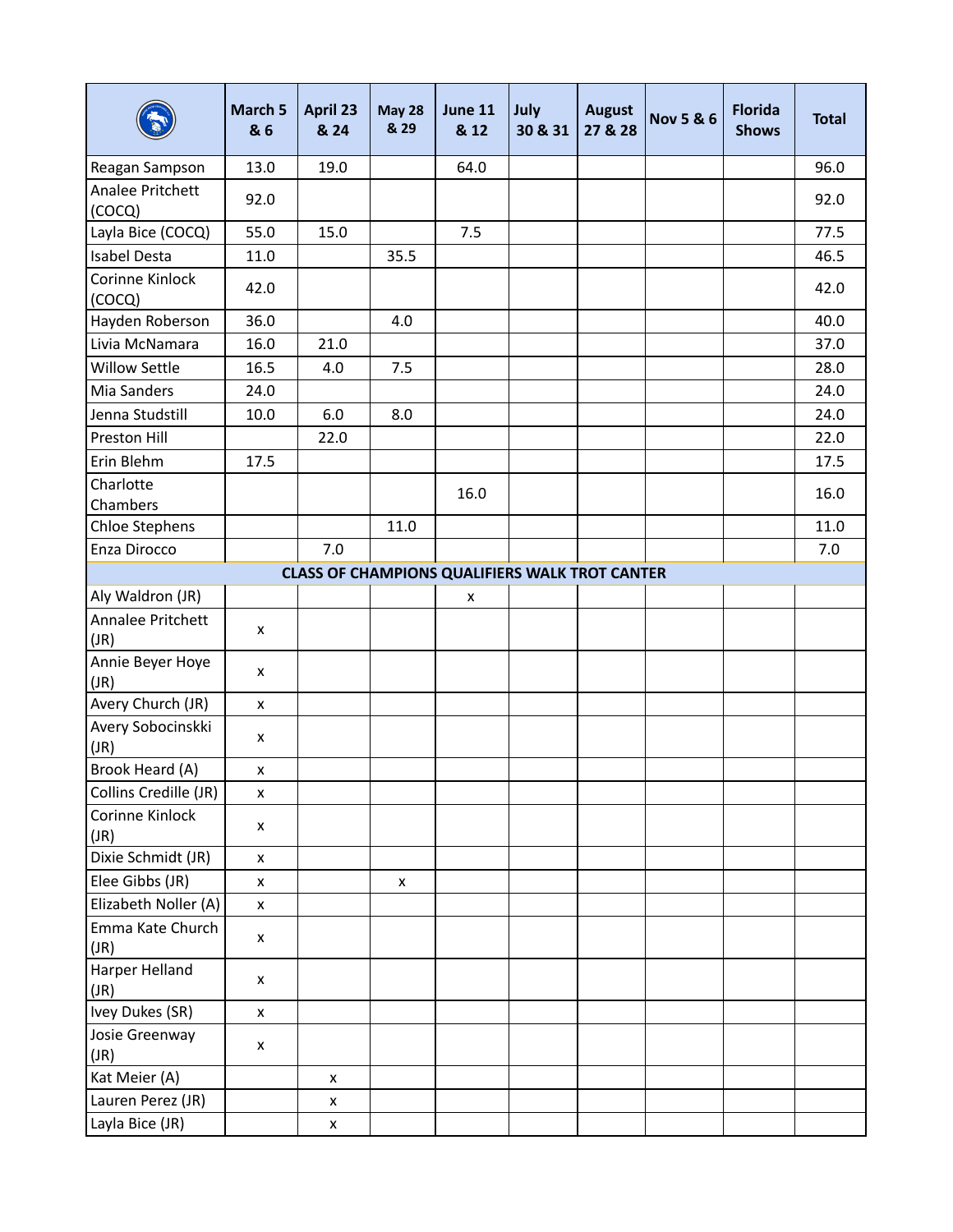|                            | March 5<br>& 6 | April 23<br>& 24 | <b>May 28</b><br>& 29 | June 11<br>& 12                                       | July<br>30 & 31 | <b>August</b><br>27 & 28 | <b>Nov 5 &amp; 6</b> | <b>Florida</b><br><b>Shows</b> | <b>Total</b> |
|----------------------------|----------------|------------------|-----------------------|-------------------------------------------------------|-----------------|--------------------------|----------------------|--------------------------------|--------------|
| Reagan Sampson             | 13.0           | 19.0             |                       | 64.0                                                  |                 |                          |                      |                                | 96.0         |
| Analee Pritchett<br>(COCQ) | 92.0           |                  |                       |                                                       |                 |                          |                      |                                | 92.0         |
| Layla Bice (COCQ)          | 55.0           | 15.0             |                       | 7.5                                                   |                 |                          |                      |                                | 77.5         |
| <b>Isabel Desta</b>        | 11.0           |                  | 35.5                  |                                                       |                 |                          |                      |                                | 46.5         |
| Corinne Kinlock<br>(COCQ)  | 42.0           |                  |                       |                                                       |                 |                          |                      |                                | 42.0         |
| Hayden Roberson            | 36.0           |                  | 4.0                   |                                                       |                 |                          |                      |                                | 40.0         |
| Livia McNamara             | 16.0           | 21.0             |                       |                                                       |                 |                          |                      |                                | 37.0         |
| <b>Willow Settle</b>       | 16.5           | 4.0              | 7.5                   |                                                       |                 |                          |                      |                                | 28.0         |
| Mia Sanders                | 24.0           |                  |                       |                                                       |                 |                          |                      |                                | 24.0         |
| Jenna Studstill            | 10.0           | 6.0              | 8.0                   |                                                       |                 |                          |                      |                                | 24.0         |
| Preston Hill               |                | 22.0             |                       |                                                       |                 |                          |                      |                                | 22.0         |
| Erin Blehm                 | 17.5           |                  |                       |                                                       |                 |                          |                      |                                | 17.5         |
| Charlotte<br>Chambers      |                |                  |                       | 16.0                                                  |                 |                          |                      |                                | 16.0         |
| Chloe Stephens             |                |                  | 11.0                  |                                                       |                 |                          |                      |                                | 11.0         |
| Enza Dirocco               |                | 7.0              |                       |                                                       |                 |                          |                      |                                | 7.0          |
|                            |                |                  |                       | <b>CLASS OF CHAMPIONS QUALIFIERS WALK TROT CANTER</b> |                 |                          |                      |                                |              |
| Aly Waldron (JR)           |                |                  |                       | x                                                     |                 |                          |                      |                                |              |
| Annalee Pritchett<br>(JR)  | x              |                  |                       |                                                       |                 |                          |                      |                                |              |
| Annie Beyer Hoye<br>(JR)   | X              |                  |                       |                                                       |                 |                          |                      |                                |              |
| Avery Church (JR)          | $\pmb{\times}$ |                  |                       |                                                       |                 |                          |                      |                                |              |
| Avery Sobocinskki<br>(JR)  | X              |                  |                       |                                                       |                 |                          |                      |                                |              |
| Brook Heard (A)            | X              |                  |                       |                                                       |                 |                          |                      |                                |              |
| Collins Credille (JR)      | $\pmb{\times}$ |                  |                       |                                                       |                 |                          |                      |                                |              |
| Corinne Kinlock<br>(JR)    | x              |                  |                       |                                                       |                 |                          |                      |                                |              |
| Dixie Schmidt (JR)         | $\pmb{\times}$ |                  |                       |                                                       |                 |                          |                      |                                |              |
| Elee Gibbs (JR)            | X              |                  | x                     |                                                       |                 |                          |                      |                                |              |
| Elizabeth Noller (A)       | $\pmb{\times}$ |                  |                       |                                                       |                 |                          |                      |                                |              |
| Emma Kate Church<br>(JR)   | x              |                  |                       |                                                       |                 |                          |                      |                                |              |
| Harper Helland<br>(JR)     | $\pmb{\times}$ |                  |                       |                                                       |                 |                          |                      |                                |              |
| Ivey Dukes (SR)            | $\pmb{\times}$ |                  |                       |                                                       |                 |                          |                      |                                |              |
| Josie Greenway<br>(JR)     | $\pmb{\times}$ |                  |                       |                                                       |                 |                          |                      |                                |              |
| Kat Meier (A)              |                | X                |                       |                                                       |                 |                          |                      |                                |              |
| Lauren Perez (JR)          |                | X                |                       |                                                       |                 |                          |                      |                                |              |
| Layla Bice (JR)            |                | X                |                       |                                                       |                 |                          |                      |                                |              |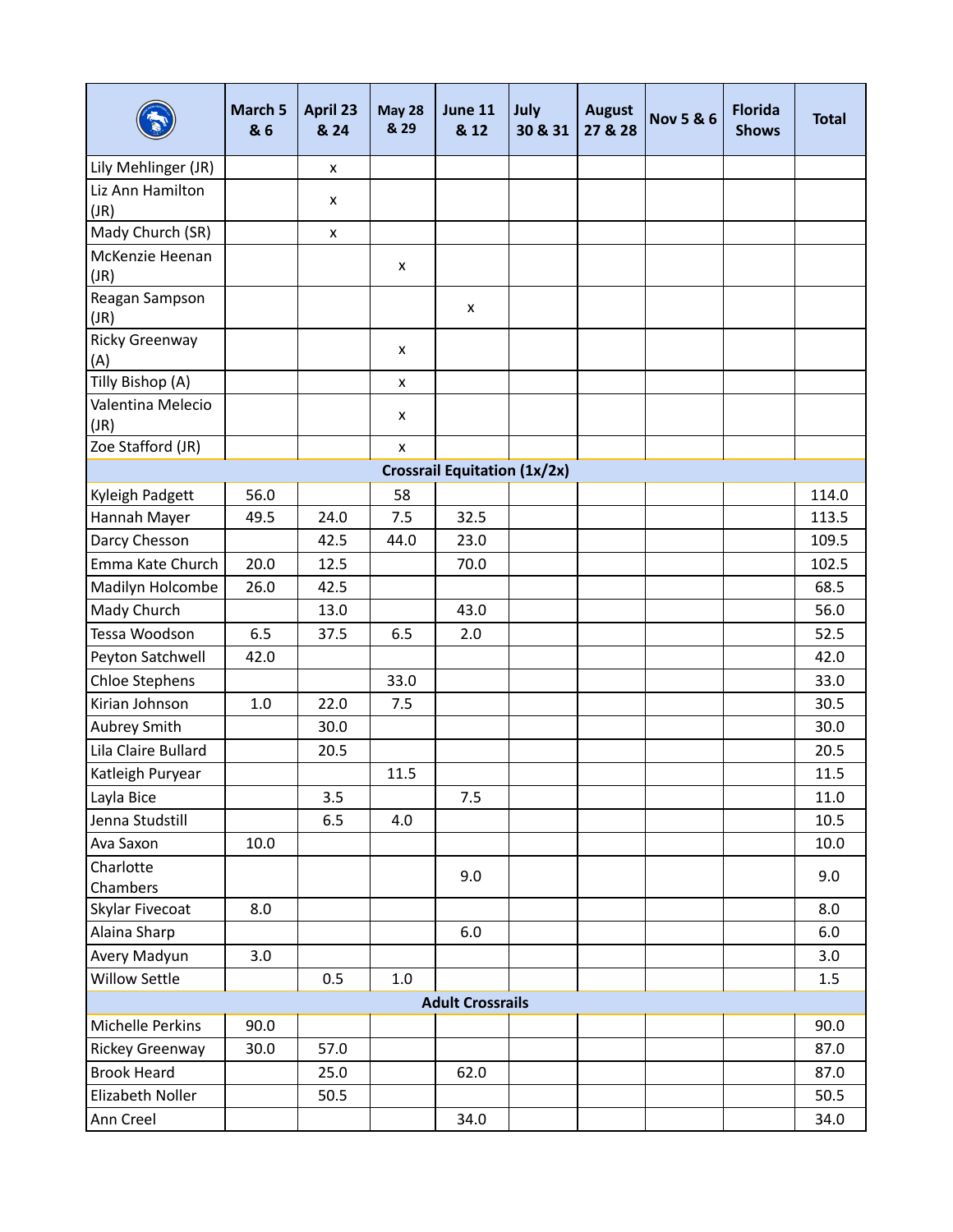|                              | <b>March 5</b><br>& 6 | April 23<br>& 24 | <b>May 28</b><br>& 29 | June 11<br>& 12                     | July<br>30 & 31 | <b>August</b><br>27 & 28 | <b>Nov 5 &amp; 6</b> | <b>Florida</b><br><b>Shows</b> | <b>Total</b> |
|------------------------------|-----------------------|------------------|-----------------------|-------------------------------------|-----------------|--------------------------|----------------------|--------------------------------|--------------|
| Lily Mehlinger (JR)          |                       | x                |                       |                                     |                 |                          |                      |                                |              |
| Liz Ann Hamilton<br>(JR)     |                       | x                |                       |                                     |                 |                          |                      |                                |              |
| Mady Church (SR)             |                       | x                |                       |                                     |                 |                          |                      |                                |              |
| McKenzie Heenan<br>(JR)      |                       |                  | x                     |                                     |                 |                          |                      |                                |              |
| Reagan Sampson<br>(JR)       |                       |                  |                       | x                                   |                 |                          |                      |                                |              |
| <b>Ricky Greenway</b><br>(A) |                       |                  | x                     |                                     |                 |                          |                      |                                |              |
| Tilly Bishop (A)             |                       |                  | X                     |                                     |                 |                          |                      |                                |              |
| Valentina Melecio<br>(JR)    |                       |                  | x                     |                                     |                 |                          |                      |                                |              |
| Zoe Stafford (JR)            |                       |                  | X                     |                                     |                 |                          |                      |                                |              |
|                              |                       |                  |                       | <b>Crossrail Equitation (1x/2x)</b> |                 |                          |                      |                                |              |
| Kyleigh Padgett              | 56.0                  |                  | 58                    |                                     |                 |                          |                      |                                | 114.0        |
| Hannah Mayer                 | 49.5                  | 24.0             | 7.5                   | 32.5                                |                 |                          |                      |                                | 113.5        |
| Darcy Chesson                |                       | 42.5             | 44.0                  | 23.0                                |                 |                          |                      |                                | 109.5        |
| Emma Kate Church             | 20.0                  | 12.5             |                       | 70.0                                |                 |                          |                      |                                | 102.5        |
| Madilyn Holcombe             | 26.0                  | 42.5             |                       |                                     |                 |                          |                      |                                | 68.5         |
| Mady Church                  |                       | 13.0             |                       | 43.0                                |                 |                          |                      |                                | 56.0         |
| Tessa Woodson                | 6.5                   | 37.5             | 6.5                   | 2.0                                 |                 |                          |                      |                                | 52.5         |
| Peyton Satchwell             | 42.0                  |                  |                       |                                     |                 |                          |                      |                                | 42.0         |
| Chloe Stephens               |                       |                  | 33.0                  |                                     |                 |                          |                      |                                | 33.0         |
| Kirian Johnson               | 1.0                   | 22.0             | 7.5                   |                                     |                 |                          |                      |                                | 30.5         |
| Aubrey Smith                 |                       | 30.0             |                       |                                     |                 |                          |                      |                                | 30.0         |
| Lila Claire Bullard          |                       | 20.5             |                       |                                     |                 |                          |                      |                                | 20.5         |
| Katleigh Puryear             |                       |                  | 11.5                  |                                     |                 |                          |                      |                                | 11.5         |
| Layla Bice                   |                       | 3.5              |                       | 7.5                                 |                 |                          |                      |                                | 11.0         |
| Jenna Studstill              |                       | 6.5              | 4.0                   |                                     |                 |                          |                      |                                | 10.5         |
| Ava Saxon                    | 10.0                  |                  |                       |                                     |                 |                          |                      |                                | 10.0         |
| Charlotte<br>Chambers        |                       |                  |                       | 9.0                                 |                 |                          |                      |                                | 9.0          |
| Skylar Fivecoat              | 8.0                   |                  |                       |                                     |                 |                          |                      |                                | 8.0          |
| Alaina Sharp                 |                       |                  |                       | $6.0\,$                             |                 |                          |                      |                                | $6.0\,$      |
| Avery Madyun                 | 3.0                   |                  |                       |                                     |                 |                          |                      |                                | 3.0          |
| Willow Settle                |                       | 0.5              | 1.0                   |                                     |                 |                          |                      |                                | 1.5          |
|                              |                       |                  |                       | <b>Adult Crossrails</b>             |                 |                          |                      |                                |              |
| Michelle Perkins             | 90.0                  |                  |                       |                                     |                 |                          |                      |                                | 90.0         |
| Rickey Greenway              | 30.0                  | 57.0             |                       |                                     |                 |                          |                      |                                | 87.0         |
| <b>Brook Heard</b>           |                       | 25.0             |                       | 62.0                                |                 |                          |                      |                                | 87.0         |
| Elizabeth Noller             |                       | 50.5             |                       |                                     |                 |                          |                      |                                | 50.5         |
| Ann Creel                    |                       |                  |                       | 34.0                                |                 |                          |                      |                                | 34.0         |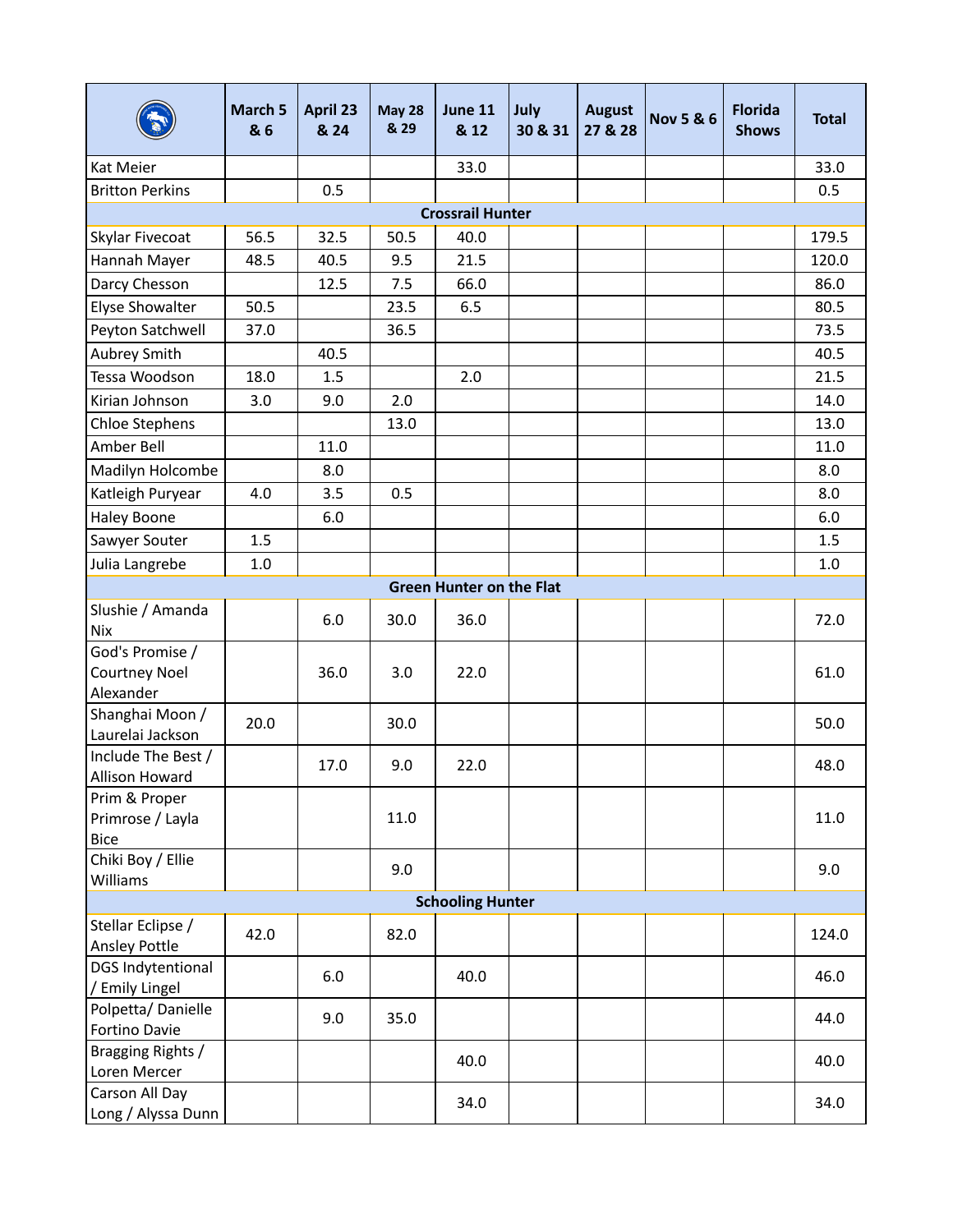|                                                      | March 5<br>& 6 | April 23<br>& 24 | <b>May 28</b><br>& 29 | June 11<br>& 12                 | July<br>30 & 31 | <b>August</b><br>27 & 28 | <b>Nov 5 &amp; 6</b> | <b>Florida</b><br><b>Shows</b> | <b>Total</b> |
|------------------------------------------------------|----------------|------------------|-----------------------|---------------------------------|-----------------|--------------------------|----------------------|--------------------------------|--------------|
| Kat Meier                                            |                |                  |                       | 33.0                            |                 |                          |                      |                                | 33.0         |
| <b>Britton Perkins</b>                               |                | 0.5              |                       |                                 |                 |                          |                      |                                | 0.5          |
|                                                      |                |                  |                       | <b>Crossrail Hunter</b>         |                 |                          |                      |                                |              |
| Skylar Fivecoat                                      | 56.5           | 32.5             | 50.5                  | 40.0                            |                 |                          |                      |                                | 179.5        |
| Hannah Mayer                                         | 48.5           | 40.5             | 9.5                   | 21.5                            |                 |                          |                      |                                | 120.0        |
| Darcy Chesson                                        |                | 12.5             | 7.5                   | 66.0                            |                 |                          |                      |                                | 86.0         |
| Elyse Showalter                                      | 50.5           |                  | 23.5                  | 6.5                             |                 |                          |                      |                                | 80.5         |
| Peyton Satchwell                                     | 37.0           |                  | 36.5                  |                                 |                 |                          |                      |                                | 73.5         |
| Aubrey Smith                                         |                | 40.5             |                       |                                 |                 |                          |                      |                                | 40.5         |
| Tessa Woodson                                        | 18.0           | 1.5              |                       | 2.0                             |                 |                          |                      |                                | 21.5         |
| Kirian Johnson                                       | 3.0            | 9.0              | 2.0                   |                                 |                 |                          |                      |                                | 14.0         |
| <b>Chloe Stephens</b>                                |                |                  | 13.0                  |                                 |                 |                          |                      |                                | 13.0         |
| Amber Bell                                           |                | 11.0             |                       |                                 |                 |                          |                      |                                | 11.0         |
| Madilyn Holcombe                                     |                | 8.0              |                       |                                 |                 |                          |                      |                                | 8.0          |
| Katleigh Puryear                                     | 4.0            | 3.5              | 0.5                   |                                 |                 |                          |                      |                                | 8.0          |
| <b>Haley Boone</b>                                   |                | 6.0              |                       |                                 |                 |                          |                      |                                | $6.0\,$      |
| Sawyer Souter                                        | $1.5\,$        |                  |                       |                                 |                 |                          |                      |                                | 1.5          |
| Julia Langrebe                                       | $1.0$          |                  |                       |                                 |                 |                          |                      |                                | $1.0\,$      |
|                                                      |                |                  |                       | <b>Green Hunter on the Flat</b> |                 |                          |                      |                                |              |
| Slushie / Amanda<br><b>Nix</b>                       |                | 6.0              | 30.0                  | 36.0                            |                 |                          |                      |                                | 72.0         |
| God's Promise /<br><b>Courtney Noel</b><br>Alexander |                | 36.0             | 3.0                   | 22.0                            |                 |                          |                      |                                | 61.0         |
| Shanghai Moon /<br>Laurelai Jackson                  | 20.0           |                  | 30.0                  |                                 |                 |                          |                      |                                | 50.0         |
| Include The Best /<br>Allison Howard                 |                | 17.0             | 9.0                   | 22.0                            |                 |                          |                      |                                | 48.0         |
| Prim & Proper<br>Primrose / Layla<br><b>Bice</b>     |                |                  | 11.0                  |                                 |                 |                          |                      |                                | 11.0         |
| Chiki Boy / Ellie<br>Williams                        |                |                  | 9.0                   |                                 |                 |                          |                      |                                | 9.0          |
|                                                      |                |                  |                       | <b>Schooling Hunter</b>         |                 |                          |                      |                                |              |
| Stellar Eclipse /<br>Ansley Pottle                   | 42.0           |                  | 82.0                  |                                 |                 |                          |                      |                                | 124.0        |
| <b>DGS Indytentional</b><br>/ Emily Lingel           |                | 6.0              |                       | 40.0                            |                 |                          |                      |                                | 46.0         |
| Polpetta/Danielle<br>Fortino Davie                   |                | 9.0              | 35.0                  |                                 |                 |                          |                      |                                | 44.0         |
| Bragging Rights /<br>Loren Mercer                    |                |                  |                       | 40.0                            |                 |                          |                      |                                | 40.0         |
| Carson All Day<br>Long / Alyssa Dunn                 |                |                  |                       | 34.0                            |                 |                          |                      |                                | 34.0         |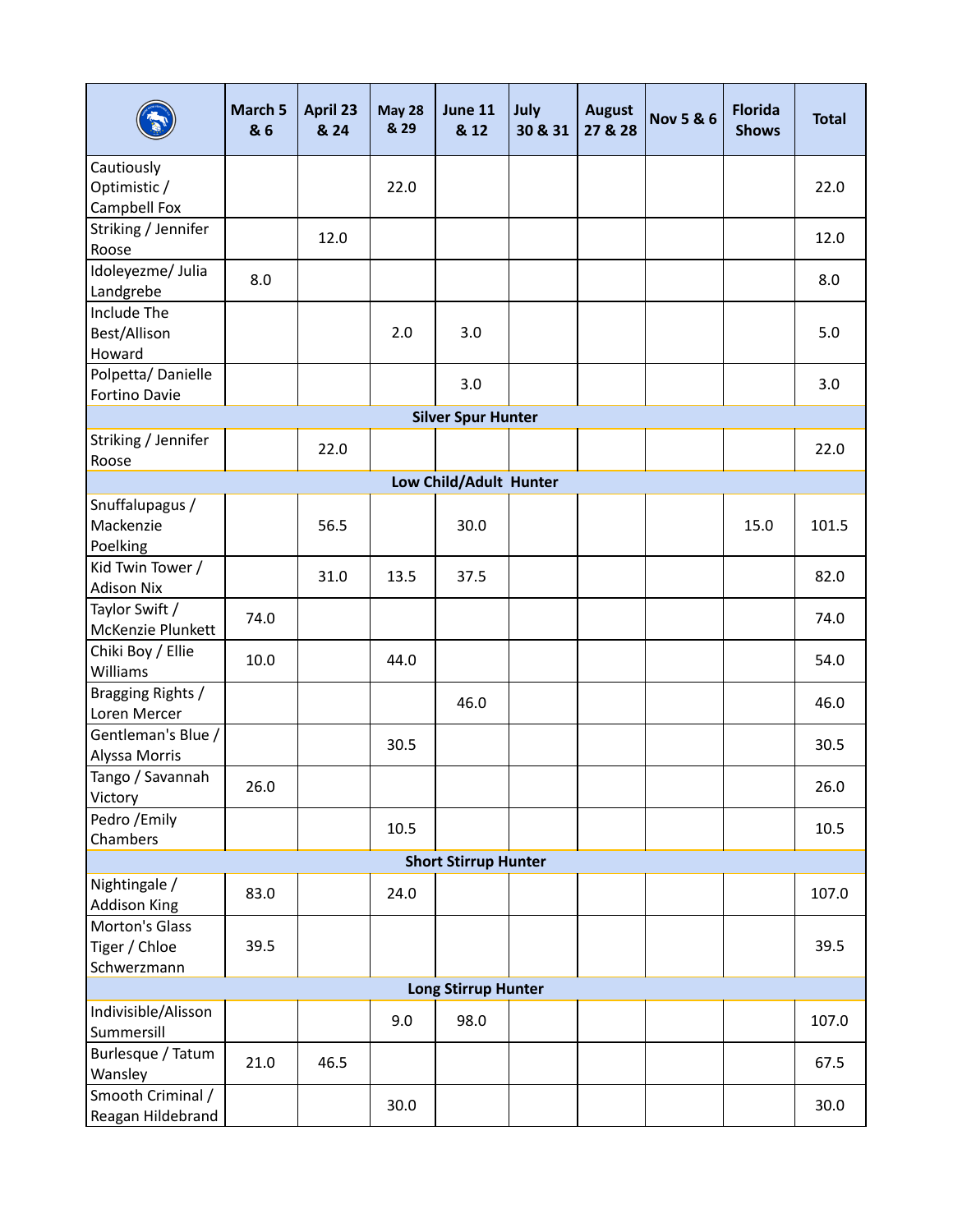|                                                | <b>March 5</b><br>& 6 | <b>April 23</b><br>& 24 | <b>May 28</b><br>& 29 | June 11<br>& 12             | July<br>30 & 31 | <b>August</b><br>27 & 28 | <b>Nov 5 &amp; 6</b> | <b>Florida</b><br><b>Shows</b> | <b>Total</b> |
|------------------------------------------------|-----------------------|-------------------------|-----------------------|-----------------------------|-----------------|--------------------------|----------------------|--------------------------------|--------------|
| Cautiously<br>Optimistic /<br>Campbell Fox     |                       |                         | 22.0                  |                             |                 |                          |                      |                                | 22.0         |
| Striking / Jennifer<br>Roose                   |                       | 12.0                    |                       |                             |                 |                          |                      |                                | 12.0         |
| Idoleyezme/ Julia<br>Landgrebe                 | 8.0                   |                         |                       |                             |                 |                          |                      |                                | 8.0          |
| Include The<br>Best/Allison<br>Howard          |                       |                         | 2.0                   | 3.0                         |                 |                          |                      |                                | 5.0          |
| Polpetta/Danielle<br>Fortino Davie             |                       |                         |                       | 3.0                         |                 |                          |                      |                                | 3.0          |
|                                                |                       |                         |                       | <b>Silver Spur Hunter</b>   |                 |                          |                      |                                |              |
| Striking / Jennifer<br>Roose                   |                       | 22.0                    |                       |                             |                 |                          |                      |                                | 22.0         |
|                                                |                       |                         |                       | Low Child/Adult Hunter      |                 |                          |                      |                                |              |
| Snuffalupagus /<br>Mackenzie<br>Poelking       |                       | 56.5                    |                       | 30.0                        |                 |                          |                      | 15.0                           | 101.5        |
| Kid Twin Tower /<br><b>Adison Nix</b>          |                       | 31.0                    | 13.5                  | 37.5                        |                 |                          |                      |                                | 82.0         |
| Taylor Swift /<br>McKenzie Plunkett            | 74.0                  |                         |                       |                             |                 |                          |                      |                                | 74.0         |
| Chiki Boy / Ellie<br>Williams                  | 10.0                  |                         | 44.0                  |                             |                 |                          |                      |                                | 54.0         |
| Bragging Rights /<br>Loren Mercer              |                       |                         |                       | 46.0                        |                 |                          |                      |                                | 46.0         |
| Gentleman's Blue /<br>Alyssa Morris            |                       |                         | 30.5                  |                             |                 |                          |                      |                                | 30.5         |
| Tango / Savannah<br>Victory                    | 26.0                  |                         |                       |                             |                 |                          |                      |                                | 26.0         |
| Pedro /Emily<br>Chambers                       |                       |                         | 10.5                  |                             |                 |                          |                      |                                | 10.5         |
|                                                |                       |                         |                       | <b>Short Stirrup Hunter</b> |                 |                          |                      |                                |              |
| Nightingale /<br><b>Addison King</b>           | 83.0                  |                         | 24.0                  |                             |                 |                          |                      |                                | 107.0        |
| Morton's Glass<br>Tiger / Chloe<br>Schwerzmann | 39.5                  |                         |                       |                             |                 |                          |                      |                                | 39.5         |
|                                                |                       |                         |                       | <b>Long Stirrup Hunter</b>  |                 |                          |                      |                                |              |
| Indivisible/Alisson<br>Summersill              |                       |                         | 9.0                   | 98.0                        |                 |                          |                      |                                | 107.0        |
| Burlesque / Tatum<br>Wansley                   | 21.0                  | 46.5                    |                       |                             |                 |                          |                      |                                | 67.5         |
| Smooth Criminal /<br>Reagan Hildebrand         |                       |                         | 30.0                  |                             |                 |                          |                      |                                | 30.0         |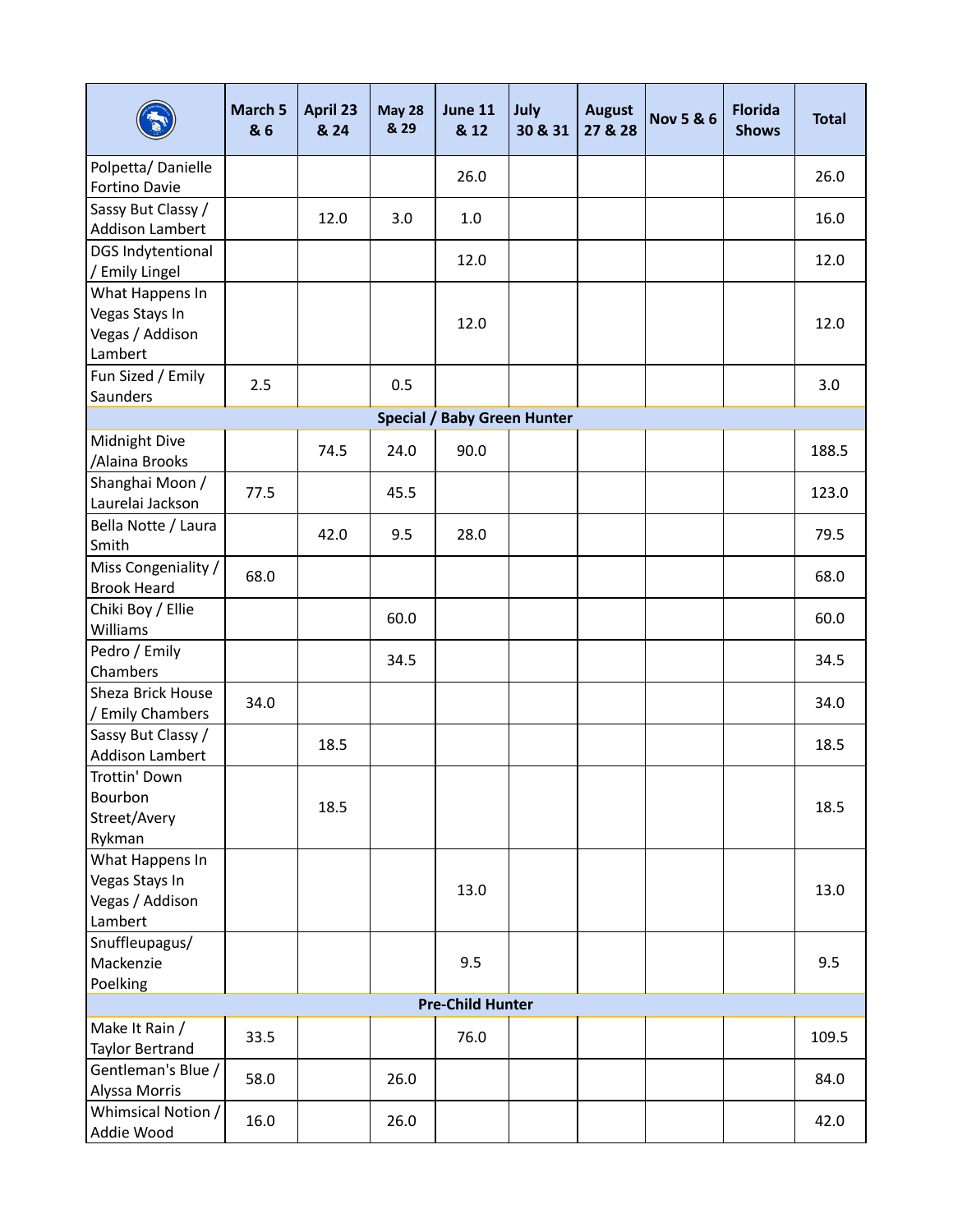|                                                                 | March 5<br>& 6 | <b>April 23</b><br>& 24 | <b>May 28</b><br>& 29 | June 11<br>& 12                    | July<br>30 & 31 | <b>August</b><br>27 & 28 | <b>Nov 5 &amp; 6</b> | <b>Florida</b><br><b>Shows</b> | <b>Total</b> |
|-----------------------------------------------------------------|----------------|-------------------------|-----------------------|------------------------------------|-----------------|--------------------------|----------------------|--------------------------------|--------------|
| Polpetta/Danielle<br>Fortino Davie                              |                |                         |                       | 26.0                               |                 |                          |                      |                                | 26.0         |
| Sassy But Classy /<br>Addison Lambert                           |                | 12.0                    | 3.0                   | 1.0                                |                 |                          |                      |                                | 16.0         |
| DGS Indytentional<br>/ Emily Lingel                             |                |                         |                       | 12.0                               |                 |                          |                      |                                | 12.0         |
| What Happens In<br>Vegas Stays In<br>Vegas / Addison<br>Lambert |                |                         |                       | 12.0                               |                 |                          |                      |                                | 12.0         |
| Fun Sized / Emily<br>Saunders                                   | 2.5            |                         | 0.5                   |                                    |                 |                          |                      |                                | 3.0          |
|                                                                 |                |                         |                       | <b>Special / Baby Green Hunter</b> |                 |                          |                      |                                |              |
| Midnight Dive<br>/Alaina Brooks                                 |                | 74.5                    | 24.0                  | 90.0                               |                 |                          |                      |                                | 188.5        |
| Shanghai Moon /<br>Laurelai Jackson                             | 77.5           |                         | 45.5                  |                                    |                 |                          |                      |                                | 123.0        |
| Bella Notte / Laura<br>Smith                                    |                | 42.0                    | 9.5                   | 28.0                               |                 |                          |                      |                                | 79.5         |
| Miss Congeniality /<br><b>Brook Heard</b>                       | 68.0           |                         |                       |                                    |                 |                          |                      |                                | 68.0         |
| Chiki Boy / Ellie<br>Williams                                   |                |                         | 60.0                  |                                    |                 |                          |                      |                                | 60.0         |
| Pedro / Emily<br>Chambers                                       |                |                         | 34.5                  |                                    |                 |                          |                      |                                | 34.5         |
| Sheza Brick House<br>/ Emily Chambers                           | 34.0           |                         |                       |                                    |                 |                          |                      |                                | 34.0         |
| Sassy But Classy /<br><b>Addison Lambert</b>                    |                | 18.5                    |                       |                                    |                 |                          |                      |                                | 18.5         |
| Trottin' Down<br>Bourbon<br>Street/Avery<br>Rykman              |                | 18.5                    |                       |                                    |                 |                          |                      |                                | 18.5         |
| What Happens In<br>Vegas Stays In<br>Vegas / Addison<br>Lambert |                |                         |                       | 13.0                               |                 |                          |                      |                                | 13.0         |
| Snuffleupagus/<br>Mackenzie<br>Poelking                         |                |                         |                       | 9.5                                |                 |                          |                      |                                | 9.5          |
|                                                                 |                |                         |                       | <b>Pre-Child Hunter</b>            |                 |                          |                      |                                |              |
| Make It Rain /<br>Taylor Bertrand                               | 33.5           |                         |                       | 76.0                               |                 |                          |                      |                                | 109.5        |
| Gentleman's Blue /<br>Alyssa Morris                             | 58.0           |                         | 26.0                  |                                    |                 |                          |                      |                                | 84.0         |
| Whimsical Notion /<br>Addie Wood                                | 16.0           |                         | 26.0                  |                                    |                 |                          |                      |                                | 42.0         |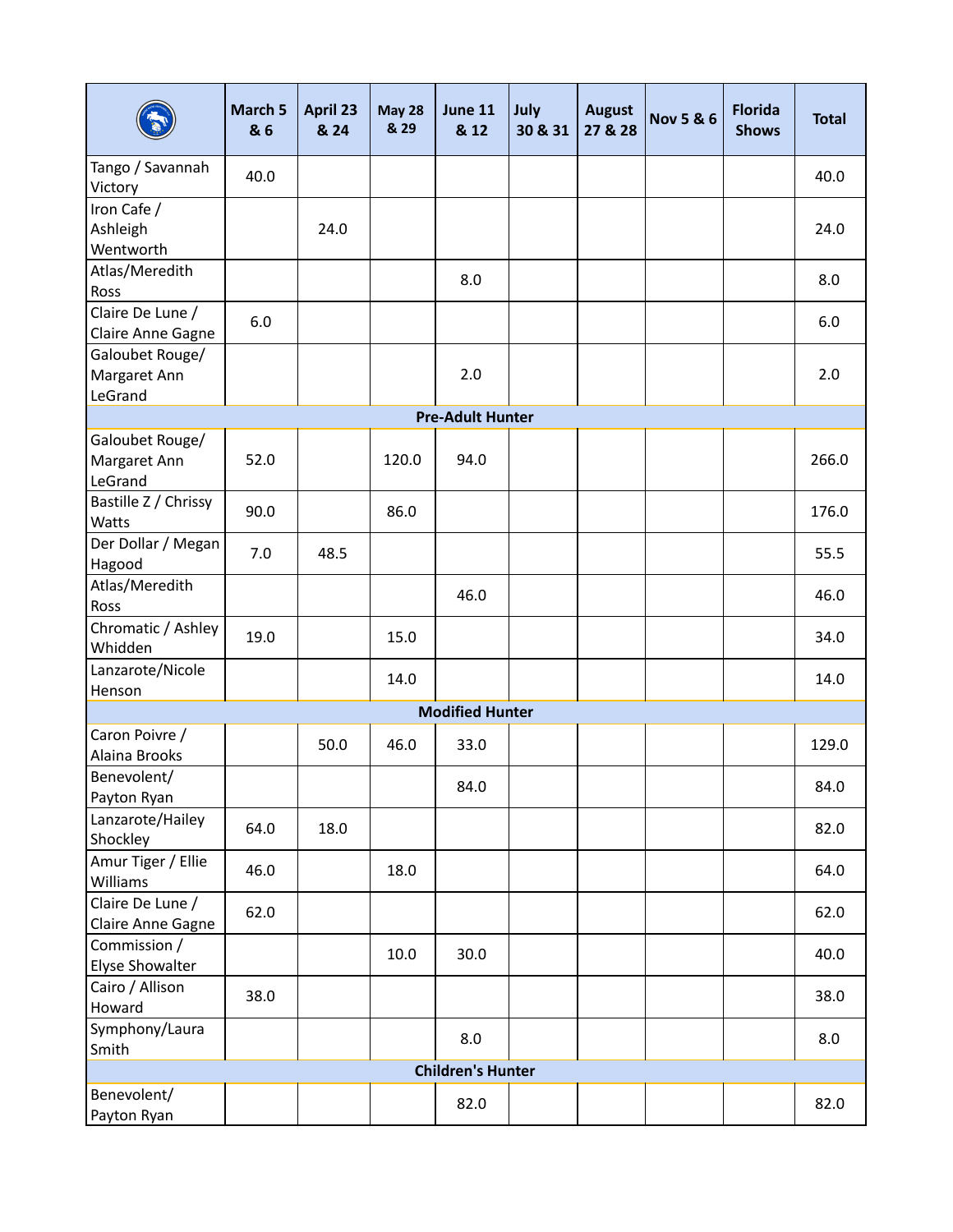|                                            | March 5<br>& 6 | April 23<br>& 24 | <b>May 28</b><br>& 29 | <b>June 11</b><br>& 12   | July<br>30 & 31 | <b>August</b><br>27 & 28 | <b>Nov 5 &amp; 6</b> | <b>Florida</b><br><b>Shows</b> | <b>Total</b> |
|--------------------------------------------|----------------|------------------|-----------------------|--------------------------|-----------------|--------------------------|----------------------|--------------------------------|--------------|
| Tango / Savannah<br>Victory                | 40.0           |                  |                       |                          |                 |                          |                      |                                | 40.0         |
| Iron Cafe /                                |                |                  |                       |                          |                 |                          |                      |                                |              |
| Ashleigh                                   |                | 24.0             |                       |                          |                 |                          |                      |                                | 24.0         |
| Wentworth                                  |                |                  |                       |                          |                 |                          |                      |                                |              |
| Atlas/Meredith<br>Ross                     |                |                  |                       | 8.0                      |                 |                          |                      |                                | 8.0          |
| Claire De Lune /                           | 6.0            |                  |                       |                          |                 |                          |                      |                                | 6.0          |
| Claire Anne Gagne                          |                |                  |                       |                          |                 |                          |                      |                                |              |
| Galoubet Rouge/<br>Margaret Ann            |                |                  |                       | 2.0                      |                 |                          |                      |                                | 2.0          |
| LeGrand                                    |                |                  |                       |                          |                 |                          |                      |                                |              |
|                                            |                |                  |                       | <b>Pre-Adult Hunter</b>  |                 |                          |                      |                                |              |
| Galoubet Rouge/<br>Margaret Ann<br>LeGrand | 52.0           |                  | 120.0                 | 94.0                     |                 |                          |                      |                                | 266.0        |
| Bastille Z / Chrissy<br>Watts              | 90.0           |                  | 86.0                  |                          |                 |                          |                      |                                | 176.0        |
| Der Dollar / Megan<br>Hagood               | 7.0            | 48.5             |                       |                          |                 |                          |                      |                                | 55.5         |
| Atlas/Meredith<br>Ross                     |                |                  |                       | 46.0                     |                 |                          |                      |                                | 46.0         |
| Chromatic / Ashley<br>Whidden              | 19.0           |                  | 15.0                  |                          |                 |                          |                      |                                | 34.0         |
| Lanzarote/Nicole<br>Henson                 |                |                  | 14.0                  |                          |                 |                          |                      |                                | 14.0         |
|                                            |                |                  |                       | <b>Modified Hunter</b>   |                 |                          |                      |                                |              |
| Caron Poivre /<br>Alaina Brooks            |                | 50.0             | 46.0                  | 33.0                     |                 |                          |                      |                                | 129.0        |
| Benevolent/<br>Payton Ryan                 |                |                  |                       | 84.0                     |                 |                          |                      |                                | 84.0         |
| Lanzarote/Hailey<br>Shockley               | 64.0           | 18.0             |                       |                          |                 |                          |                      |                                | 82.0         |
| Amur Tiger / Ellie<br>Williams             | 46.0           |                  | 18.0                  |                          |                 |                          |                      |                                | 64.0         |
| Claire De Lune /<br>Claire Anne Gagne      | 62.0           |                  |                       |                          |                 |                          |                      |                                | 62.0         |
| Commission /<br>Elyse Showalter            |                |                  | 10.0                  | 30.0                     |                 |                          |                      |                                | 40.0         |
| Cairo / Allison<br>Howard                  | 38.0           |                  |                       |                          |                 |                          |                      |                                | 38.0         |
| Symphony/Laura<br>Smith                    |                |                  |                       | 8.0                      |                 |                          |                      |                                | 8.0          |
|                                            |                |                  |                       | <b>Children's Hunter</b> |                 |                          |                      |                                |              |
| Benevolent/<br>Payton Ryan                 |                |                  |                       | 82.0                     |                 |                          |                      |                                | 82.0         |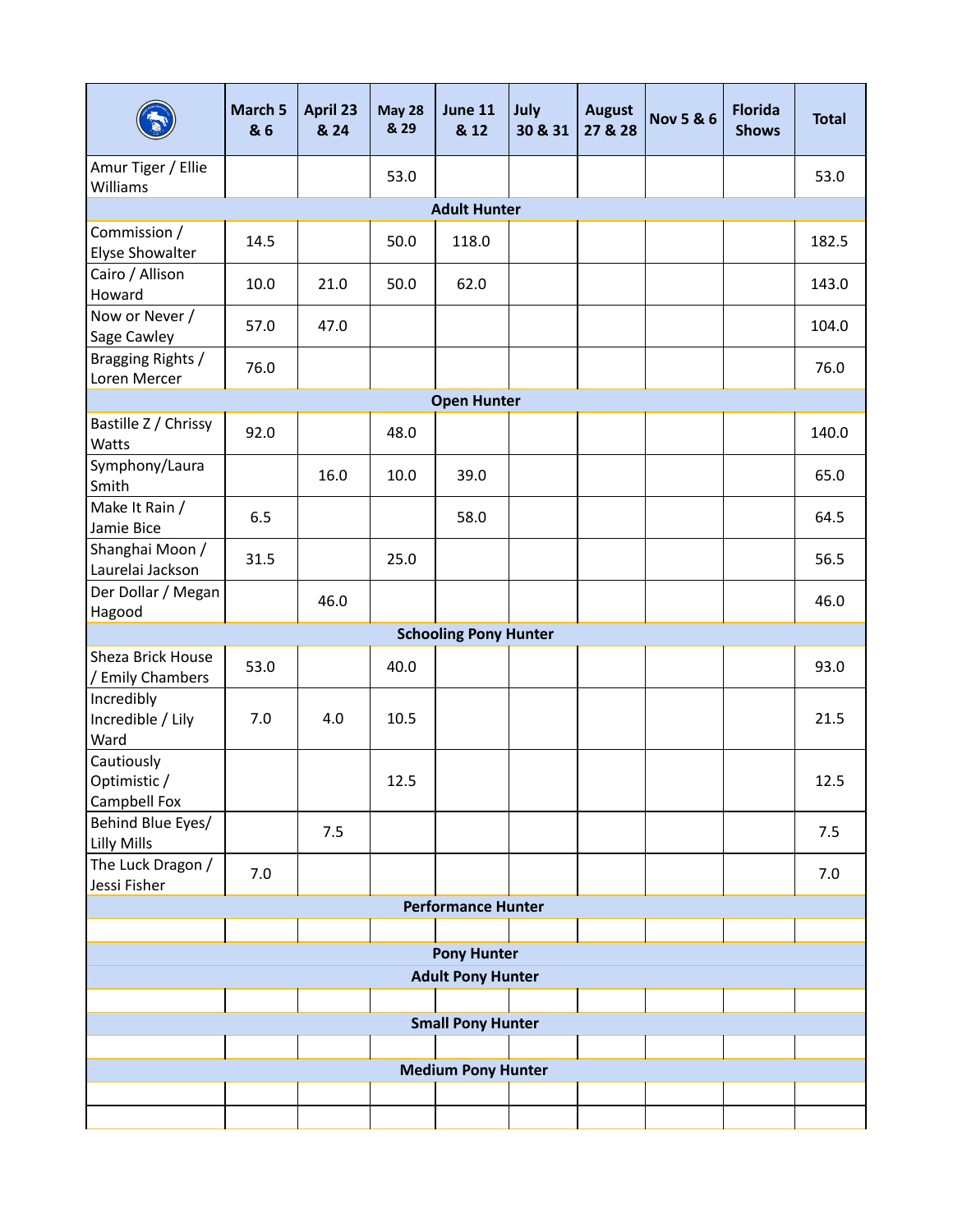|                                            | March 5<br>& 6 | <b>April 23</b><br>& 24 | <b>May 28</b><br>& 29 | June 11<br>& 12                                | July<br>30 & 31 | <b>August</b><br>27 & 28 | <b>Nov 5 &amp; 6</b> | <b>Florida</b><br><b>Shows</b> | <b>Total</b> |
|--------------------------------------------|----------------|-------------------------|-----------------------|------------------------------------------------|-----------------|--------------------------|----------------------|--------------------------------|--------------|
| Amur Tiger / Ellie<br>Williams             |                |                         | 53.0                  |                                                |                 |                          |                      |                                | 53.0         |
|                                            |                |                         |                       | <b>Adult Hunter</b>                            |                 |                          |                      |                                |              |
| Commission /<br>Elyse Showalter            | 14.5           |                         | 50.0                  | 118.0                                          |                 |                          |                      |                                | 182.5        |
| Cairo / Allison<br>Howard                  | 10.0           | 21.0                    | 50.0                  | 62.0                                           |                 |                          |                      |                                | 143.0        |
| Now or Never /<br>Sage Cawley              | 57.0           | 47.0                    |                       |                                                |                 |                          |                      |                                | 104.0        |
| Bragging Rights /<br>Loren Mercer          | 76.0           |                         |                       |                                                |                 |                          |                      |                                | 76.0         |
|                                            |                |                         |                       | <b>Open Hunter</b>                             |                 |                          |                      |                                |              |
| Bastille Z / Chrissy<br>Watts              | 92.0           |                         | 48.0                  |                                                |                 |                          |                      |                                | 140.0        |
| Symphony/Laura<br>Smith                    |                | 16.0                    | 10.0                  | 39.0                                           |                 |                          |                      |                                | 65.0         |
| Make It Rain /<br>Jamie Bice               | 6.5            |                         |                       | 58.0                                           |                 |                          |                      |                                | 64.5         |
| Shanghai Moon /<br>Laurelai Jackson        | 31.5           |                         | 25.0                  |                                                |                 |                          |                      |                                | 56.5         |
| Der Dollar / Megan<br>Hagood               |                | 46.0                    |                       |                                                |                 |                          |                      |                                | 46.0         |
|                                            |                |                         |                       | <b>Schooling Pony Hunter</b>                   |                 |                          |                      |                                |              |
| Sheza Brick House<br>/ Emily Chambers      | 53.0           |                         | 40.0                  |                                                |                 |                          |                      |                                | 93.0         |
| Incredibly<br>Incredible / Lily<br>Ward    | 7.0            | 4.0                     | 10.5                  |                                                |                 |                          |                      |                                | 21.5         |
| Cautiously<br>Optimistic /<br>Campbell Fox |                |                         | 12.5                  |                                                |                 |                          |                      |                                | 12.5         |
| Behind Blue Eyes/<br>Lilly Mills           |                | 7.5                     |                       |                                                |                 |                          |                      |                                | 7.5          |
| The Luck Dragon /<br>Jessi Fisher          | 7.0            |                         |                       |                                                |                 |                          |                      |                                | 7.0          |
|                                            |                |                         |                       | <b>Performance Hunter</b>                      |                 |                          |                      |                                |              |
|                                            |                |                         |                       |                                                |                 |                          |                      |                                |              |
|                                            |                |                         |                       | <b>Pony Hunter</b><br><b>Adult Pony Hunter</b> |                 |                          |                      |                                |              |
|                                            |                |                         |                       |                                                |                 |                          |                      |                                |              |
|                                            |                |                         |                       | <b>Small Pony Hunter</b>                       |                 |                          |                      |                                |              |
|                                            |                |                         |                       |                                                |                 |                          |                      |                                |              |
|                                            |                |                         |                       | <b>Medium Pony Hunter</b>                      |                 |                          |                      |                                |              |
|                                            |                |                         |                       |                                                |                 |                          |                      |                                |              |
|                                            |                |                         |                       |                                                |                 |                          |                      |                                |              |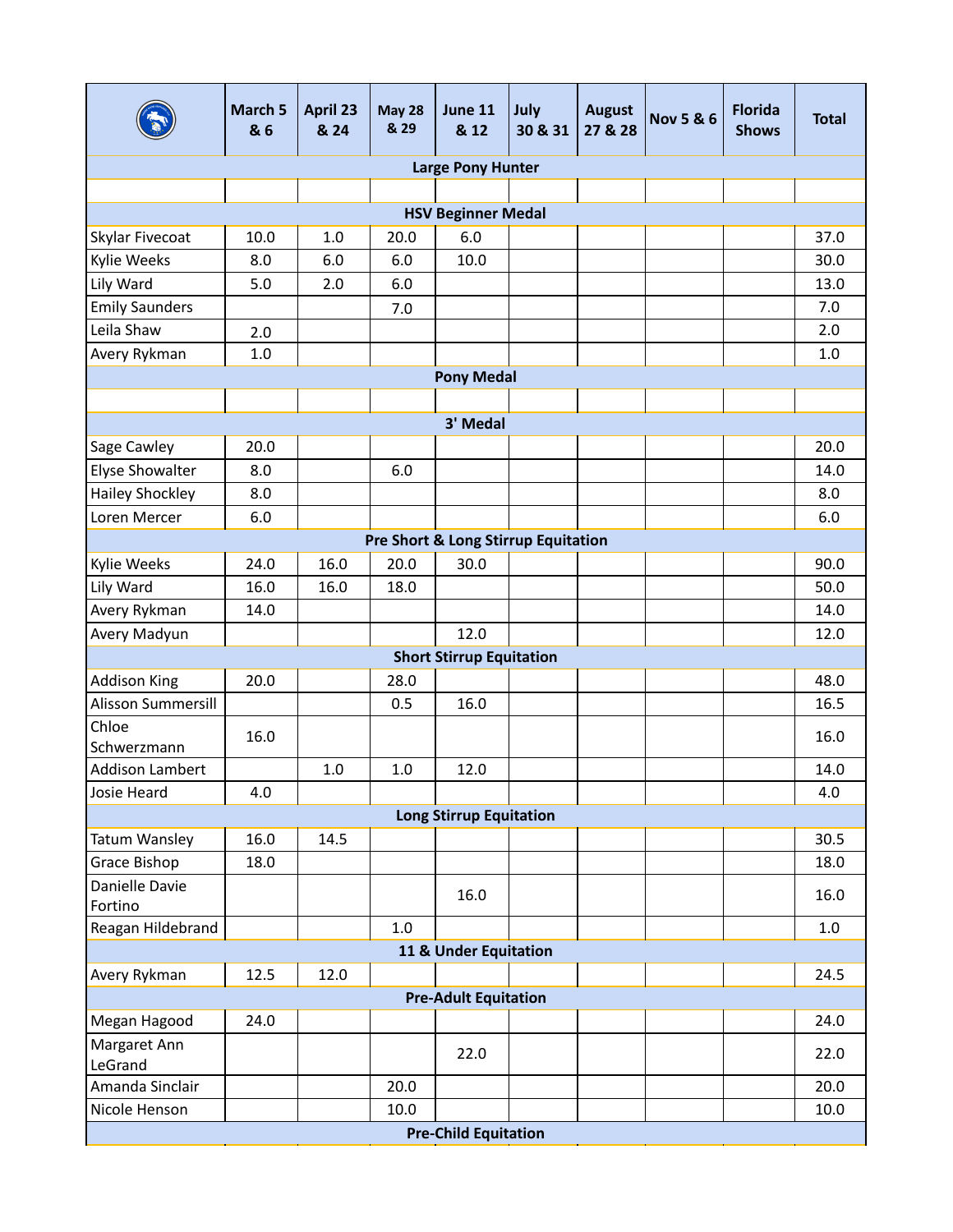|                            | March 5<br>& 6 | April 23<br>& 24 | <b>May 28</b><br>& 29 | <b>June 11</b><br>& 12                         | July<br>30 & 31 | <b>August</b><br>27 & 28 | <b>Nov 5 &amp; 6</b> | <b>Florida</b><br><b>Shows</b> | <b>Total</b> |
|----------------------------|----------------|------------------|-----------------------|------------------------------------------------|-----------------|--------------------------|----------------------|--------------------------------|--------------|
|                            |                |                  |                       | <b>Large Pony Hunter</b>                       |                 |                          |                      |                                |              |
|                            |                |                  |                       |                                                |                 |                          |                      |                                |              |
|                            |                |                  |                       | <b>HSV Beginner Medal</b>                      |                 |                          |                      |                                |              |
| Skylar Fivecoat            | 10.0           | 1.0              | 20.0                  | 6.0                                            |                 |                          |                      |                                | 37.0         |
| Kylie Weeks                | 8.0            | 6.0              | 6.0                   | 10.0                                           |                 |                          |                      |                                | 30.0         |
| Lily Ward                  | 5.0            | 2.0              | 6.0                   |                                                |                 |                          |                      |                                | 13.0         |
| <b>Emily Saunders</b>      |                |                  | 7.0                   |                                                |                 |                          |                      |                                | 7.0          |
| Leila Shaw                 | 2.0            |                  |                       |                                                |                 |                          |                      |                                | 2.0          |
| Avery Rykman               | 1.0            |                  |                       |                                                |                 |                          |                      |                                | 1.0          |
|                            |                |                  |                       | <b>Pony Medal</b>                              |                 |                          |                      |                                |              |
|                            |                |                  |                       |                                                |                 |                          |                      |                                |              |
|                            |                |                  |                       | 3' Medal                                       |                 |                          |                      |                                |              |
| Sage Cawley                | 20.0           |                  |                       |                                                |                 |                          |                      |                                | 20.0         |
| Elyse Showalter            | 8.0            |                  | 6.0                   |                                                |                 |                          |                      |                                | 14.0         |
| <b>Hailey Shockley</b>     | 8.0            |                  |                       |                                                |                 |                          |                      |                                | 8.0          |
| Loren Mercer               | 6.0            |                  |                       |                                                |                 |                          |                      |                                | 6.0          |
|                            |                |                  |                       | <b>Pre Short &amp; Long Stirrup Equitation</b> |                 |                          |                      |                                |              |
| Kylie Weeks                | 24.0           | 16.0             | 20.0                  | 30.0                                           |                 |                          |                      |                                | 90.0         |
| Lily Ward                  | 16.0           | 16.0             | 18.0                  |                                                |                 |                          |                      |                                | 50.0         |
| Avery Rykman               | 14.0           |                  |                       |                                                |                 |                          |                      |                                | 14.0         |
| Avery Madyun               |                |                  |                       | 12.0                                           |                 |                          |                      |                                | 12.0         |
|                            |                |                  |                       | <b>Short Stirrup Equitation</b>                |                 |                          |                      |                                |              |
| <b>Addison King</b>        | 20.0           |                  | 28.0                  |                                                |                 |                          |                      |                                | 48.0         |
| Alisson Summersill         |                |                  | 0.5                   | 16.0                                           |                 |                          |                      |                                | 16.5         |
| Chloe<br>Schwerzmann       | 16.0           |                  |                       |                                                |                 |                          |                      |                                | 16.0         |
| <b>Addison Lambert</b>     |                | 1.0              | 1.0                   | 12.0                                           |                 |                          |                      |                                | 14.0         |
| Josie Heard                | 4.0            |                  |                       |                                                |                 |                          |                      |                                | 4.0          |
|                            |                |                  |                       | <b>Long Stirrup Equitation</b>                 |                 |                          |                      |                                |              |
| Tatum Wansley              | 16.0           | 14.5             |                       |                                                |                 |                          |                      |                                | 30.5         |
| Grace Bishop               | 18.0           |                  |                       |                                                |                 |                          |                      |                                | 18.0         |
| Danielle Davie<br>Fortino  |                |                  |                       | 16.0                                           |                 |                          |                      |                                | 16.0         |
| Reagan Hildebrand          |                |                  | $1.0\,$               |                                                |                 |                          |                      |                                | 1.0          |
|                            |                |                  |                       | 11 & Under Equitation                          |                 |                          |                      |                                |              |
| Avery Rykman               | 12.5           | 12.0             |                       |                                                |                 |                          |                      |                                | 24.5         |
|                            |                |                  |                       | <b>Pre-Adult Equitation</b>                    |                 |                          |                      |                                |              |
| Megan Hagood               | 24.0           |                  |                       |                                                |                 |                          |                      |                                | 24.0         |
| Margaret Ann               |                |                  |                       | 22.0                                           |                 |                          |                      |                                | 22.0         |
| LeGrand<br>Amanda Sinclair |                |                  | 20.0                  |                                                |                 |                          |                      |                                | 20.0         |
| Nicole Henson              |                |                  | 10.0                  |                                                |                 |                          |                      |                                | 10.0         |
|                            |                |                  |                       | <b>Pre-Child Equitation</b>                    |                 |                          |                      |                                |              |
|                            |                |                  |                       |                                                |                 |                          |                      |                                |              |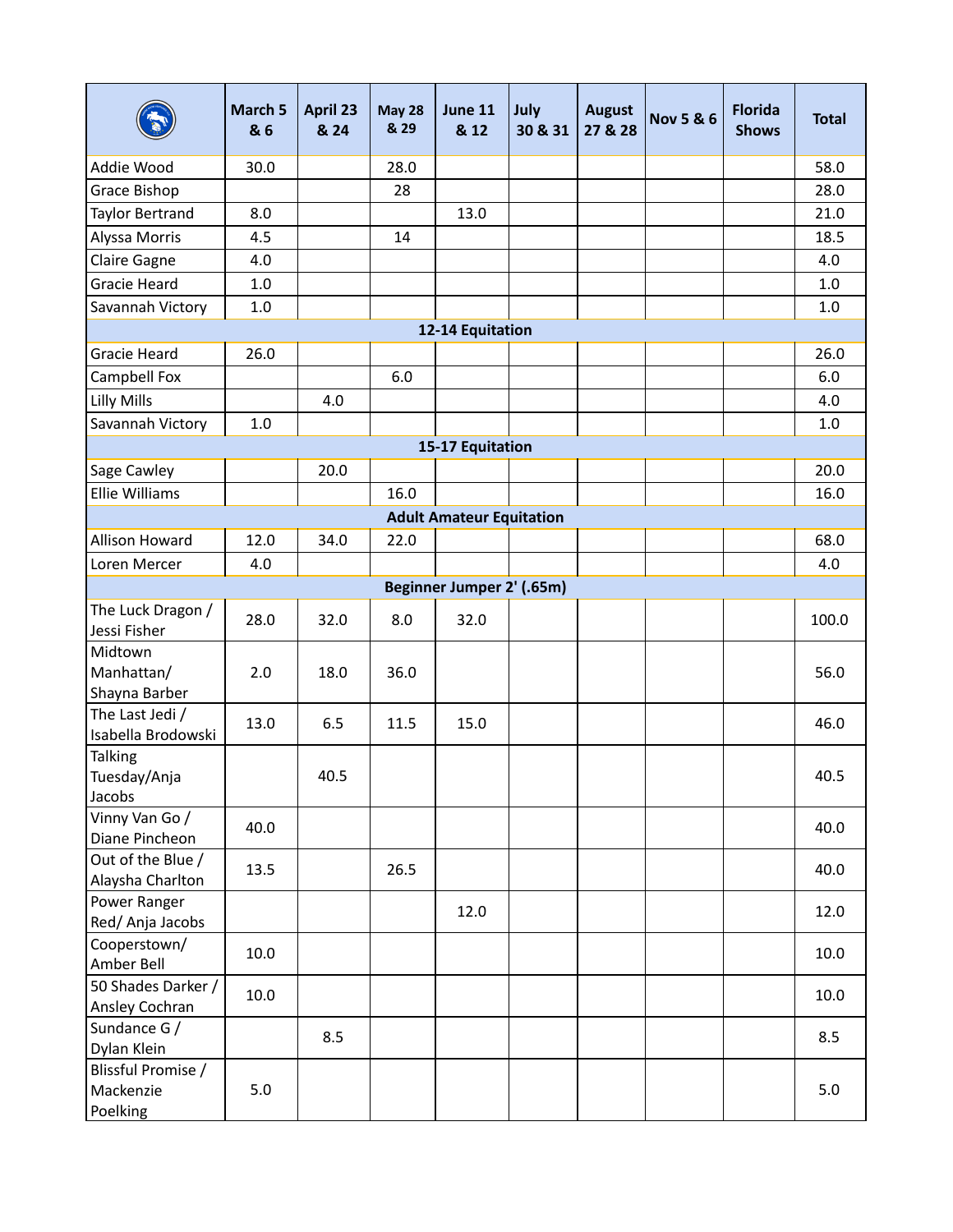|                                             | March 5<br>& 6 | April 23<br>& 24 | <b>May 28</b><br>& 29 | June 11<br>& 12                 | July<br>30 & 31 | <b>August</b><br>27 & 28 | <b>Nov 5 &amp; 6</b> | <b>Florida</b><br><b>Shows</b> | <b>Total</b> |
|---------------------------------------------|----------------|------------------|-----------------------|---------------------------------|-----------------|--------------------------|----------------------|--------------------------------|--------------|
| Addie Wood                                  | 30.0           |                  | 28.0                  |                                 |                 |                          |                      |                                | 58.0         |
| Grace Bishop                                |                |                  | 28                    |                                 |                 |                          |                      |                                | 28.0         |
| Taylor Bertrand                             | 8.0            |                  |                       | 13.0                            |                 |                          |                      |                                | 21.0         |
| Alyssa Morris                               | 4.5            |                  | 14                    |                                 |                 |                          |                      |                                | 18.5         |
| <b>Claire Gagne</b>                         | 4.0            |                  |                       |                                 |                 |                          |                      |                                | 4.0          |
| <b>Gracie Heard</b>                         | $1.0\,$        |                  |                       |                                 |                 |                          |                      |                                | 1.0          |
| Savannah Victory                            | $1.0\,$        |                  |                       |                                 |                 |                          |                      |                                | 1.0          |
|                                             |                |                  |                       | 12-14 Equitation                |                 |                          |                      |                                |              |
| <b>Gracie Heard</b>                         | 26.0           |                  |                       |                                 |                 |                          |                      |                                | 26.0         |
| Campbell Fox                                |                |                  | 6.0                   |                                 |                 |                          |                      |                                | 6.0          |
| <b>Lilly Mills</b>                          |                | 4.0              |                       |                                 |                 |                          |                      |                                | 4.0          |
| Savannah Victory                            | 1.0            |                  |                       |                                 |                 |                          |                      |                                | $1.0\,$      |
|                                             |                |                  |                       | 15-17 Equitation                |                 |                          |                      |                                |              |
| Sage Cawley                                 |                | 20.0             |                       |                                 |                 |                          |                      |                                | 20.0         |
| Ellie Williams                              |                |                  | 16.0                  |                                 |                 |                          |                      |                                | 16.0         |
|                                             |                |                  |                       | <b>Adult Amateur Equitation</b> |                 |                          |                      |                                |              |
| <b>Allison Howard</b>                       | 12.0           | 34.0             | 22.0                  |                                 |                 |                          |                      |                                | 68.0         |
| Loren Mercer                                | 4.0            |                  |                       |                                 |                 |                          |                      |                                | 4.0          |
|                                             |                |                  |                       | Beginner Jumper 2' (.65m)       |                 |                          |                      |                                |              |
| The Luck Dragon /<br>Jessi Fisher           | 28.0           | 32.0             | 8.0                   | 32.0                            |                 |                          |                      |                                | 100.0        |
| Midtown<br>Manhattan/<br>Shayna Barber      | 2.0            | 18.0             | 36.0                  |                                 |                 |                          |                      |                                | 56.0         |
| The Last Jedi /<br>Isabella Brodowski       | 13.0           | 6.5              | 11.5                  | 15.0                            |                 |                          |                      |                                | 46.0         |
| <b>Talking</b><br>Tuesday/Anja<br>Jacobs    |                | 40.5             |                       |                                 |                 |                          |                      |                                | 40.5         |
| Vinny Van Go /<br>Diane Pincheon            | 40.0           |                  |                       |                                 |                 |                          |                      |                                | 40.0         |
| Out of the Blue /<br>Alaysha Charlton       | 13.5           |                  | 26.5                  |                                 |                 |                          |                      |                                | 40.0         |
| Power Ranger<br>Red/Anja Jacobs             |                |                  |                       | 12.0                            |                 |                          |                      |                                | 12.0         |
| Cooperstown/<br>Amber Bell                  | 10.0           |                  |                       |                                 |                 |                          |                      |                                | 10.0         |
| 50 Shades Darker /<br>Ansley Cochran        | $10.0\,$       |                  |                       |                                 |                 |                          |                      |                                | 10.0         |
| Sundance G /<br>Dylan Klein                 |                | 8.5              |                       |                                 |                 |                          |                      |                                | 8.5          |
| Blissful Promise /<br>Mackenzie<br>Poelking | 5.0            |                  |                       |                                 |                 |                          |                      |                                | 5.0          |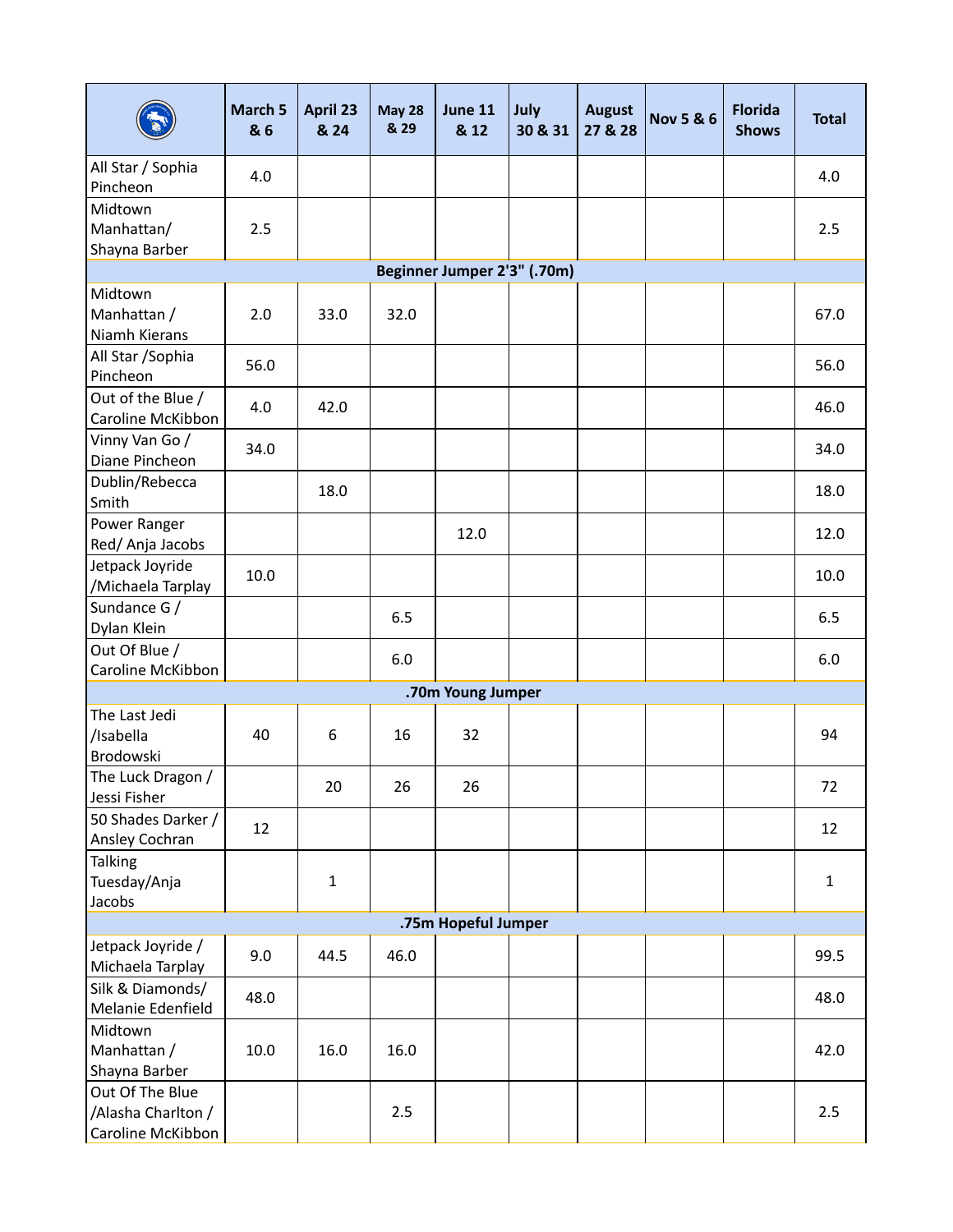|                                                            | March 5<br>& 6 | April 23<br>& 24 | <b>May 28</b><br>& 29 | <b>June 11</b><br>& 12      | July<br>30 & 31 | <b>August</b><br>27 & 28 | <b>Nov 5 &amp; 6</b> | <b>Florida</b><br><b>Shows</b> | <b>Total</b> |
|------------------------------------------------------------|----------------|------------------|-----------------------|-----------------------------|-----------------|--------------------------|----------------------|--------------------------------|--------------|
| All Star / Sophia<br>Pincheon                              | 4.0            |                  |                       |                             |                 |                          |                      |                                | 4.0          |
| Midtown<br>Manhattan/<br>Shayna Barber                     | 2.5            |                  |                       |                             |                 |                          |                      |                                | 2.5          |
|                                                            |                |                  |                       | Beginner Jumper 2'3" (.70m) |                 |                          |                      |                                |              |
| Midtown<br>Manhattan /<br>Niamh Kierans                    | 2.0            | 33.0             | 32.0                  |                             |                 |                          |                      |                                | 67.0         |
| All Star / Sophia<br>Pincheon                              | 56.0           |                  |                       |                             |                 |                          |                      |                                | 56.0         |
| Out of the Blue /<br>Caroline McKibbon                     | 4.0            | 42.0             |                       |                             |                 |                          |                      |                                | 46.0         |
| Vinny Van Go /<br>Diane Pincheon                           | 34.0           |                  |                       |                             |                 |                          |                      |                                | 34.0         |
| Dublin/Rebecca<br>Smith                                    |                | 18.0             |                       |                             |                 |                          |                      |                                | 18.0         |
| Power Ranger<br>Red/ Anja Jacobs                           |                |                  |                       | 12.0                        |                 |                          |                      |                                | 12.0         |
| Jetpack Joyride<br>/Michaela Tarplay                       | 10.0           |                  |                       |                             |                 |                          |                      |                                | 10.0         |
| Sundance G /<br>Dylan Klein                                |                |                  | 6.5                   |                             |                 |                          |                      |                                | 6.5          |
| Out Of Blue /<br>Caroline McKibbon                         |                |                  | 6.0                   |                             |                 |                          |                      |                                | 6.0          |
|                                                            |                |                  |                       | .70m Young Jumper           |                 |                          |                      |                                |              |
| The Last Jedi<br>/Isabella<br>Brodowski                    | 40             | 6                | 16                    | 32                          |                 |                          |                      |                                | 94           |
| The Luck Dragon /<br>Jessi Fisher                          |                | 20               | 26                    | 26                          |                 |                          |                      |                                | 72           |
| 50 Shades Darker /<br>Ansley Cochran                       | 12             |                  |                       |                             |                 |                          |                      |                                | 12           |
| <b>Talking</b><br>Tuesday/Anja<br>Jacobs                   |                | $\mathbf 1$      |                       |                             |                 |                          |                      |                                | $\mathbf{1}$ |
|                                                            |                |                  |                       | .75m Hopeful Jumper         |                 |                          |                      |                                |              |
| Jetpack Joyride /<br>Michaela Tarplay                      | 9.0            | 44.5             | 46.0                  |                             |                 |                          |                      |                                | 99.5         |
| Silk & Diamonds/<br>Melanie Edenfield                      | 48.0           |                  |                       |                             |                 |                          |                      |                                | 48.0         |
| Midtown<br>Manhattan /<br>Shayna Barber                    | 10.0           | 16.0             | 16.0                  |                             |                 |                          |                      |                                | 42.0         |
| Out Of The Blue<br>/Alasha Charlton /<br>Caroline McKibbon |                |                  | 2.5                   |                             |                 |                          |                      |                                | 2.5          |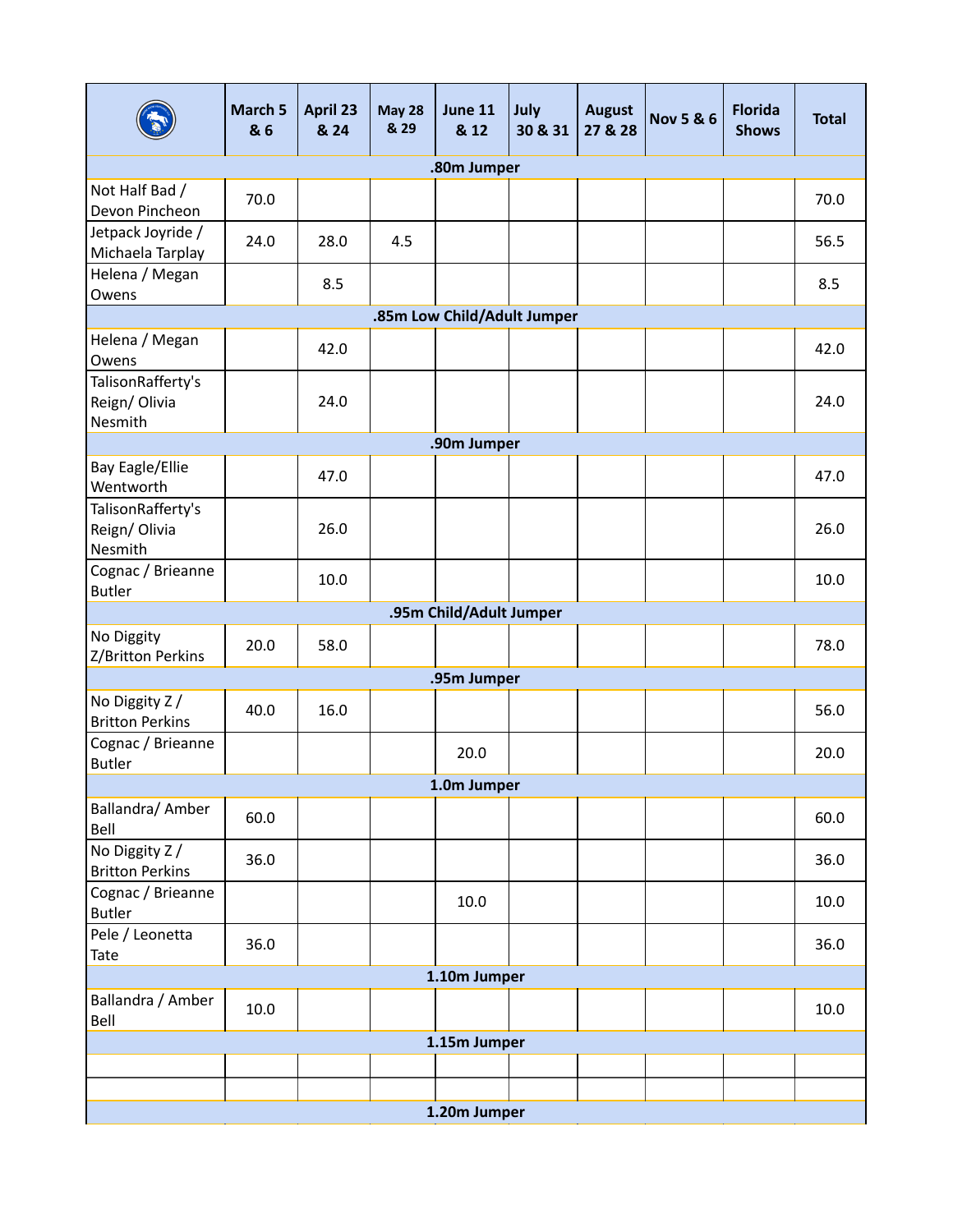|                                              | March 5<br>& 6 | April 23<br>& 24 | <b>May 28</b><br>& 29 | June 11<br>& 12             | July<br>30 & 31 | <b>August</b><br>27 & 28 | <b>Nov 5 &amp; 6</b> | <b>Florida</b><br><b>Shows</b> | <b>Total</b> |  |
|----------------------------------------------|----------------|------------------|-----------------------|-----------------------------|-----------------|--------------------------|----------------------|--------------------------------|--------------|--|
|                                              |                |                  |                       | .80m Jumper                 |                 |                          |                      |                                |              |  |
| Not Half Bad /<br>Devon Pincheon             | 70.0           |                  |                       |                             |                 |                          |                      |                                | 70.0         |  |
| Jetpack Joyride /<br>Michaela Tarplay        | 24.0           | 28.0             | 4.5                   |                             |                 |                          |                      |                                | 56.5         |  |
| Helena / Megan<br>Owens                      |                | 8.5              |                       |                             |                 |                          |                      |                                | 8.5          |  |
|                                              |                |                  |                       | .85m Low Child/Adult Jumper |                 |                          |                      |                                |              |  |
| Helena / Megan<br>Owens                      |                | 42.0             |                       |                             |                 |                          |                      |                                | 42.0         |  |
| TalisonRafferty's<br>Reign/Olivia<br>Nesmith |                | 24.0             |                       |                             |                 |                          |                      |                                | 24.0         |  |
|                                              |                |                  |                       | .90m Jumper                 |                 |                          |                      |                                |              |  |
| Bay Eagle/Ellie<br>Wentworth                 |                | 47.0             |                       |                             |                 |                          |                      |                                | 47.0         |  |
| TalisonRafferty's<br>Reign/Olivia<br>Nesmith |                | 26.0             |                       |                             |                 |                          |                      |                                | 26.0         |  |
| Cognac / Brieanne<br><b>Butler</b>           |                | 10.0             |                       |                             |                 |                          |                      |                                | 10.0         |  |
| .95m Child/Adult Jumper                      |                |                  |                       |                             |                 |                          |                      |                                |              |  |
| No Diggity<br>Z/Britton Perkins              | 20.0           | 58.0             |                       |                             |                 |                          |                      |                                | 78.0         |  |
|                                              |                |                  |                       | .95m Jumper                 |                 |                          |                      |                                |              |  |
| No Diggity Z /<br><b>Britton Perkins</b>     | 40.0           | 16.0             |                       |                             |                 |                          |                      |                                | 56.0         |  |
| Cognac / Brieanne<br><b>Butler</b>           |                |                  |                       | 20.0                        |                 |                          |                      |                                | 20.0         |  |
|                                              |                |                  |                       | 1.0m Jumper                 |                 |                          |                      |                                |              |  |
| Ballandra/ Amber<br>Bell                     | 60.0           |                  |                       |                             |                 |                          |                      |                                | 60.0         |  |
| No Diggity Z /<br><b>Britton Perkins</b>     | 36.0           |                  |                       |                             |                 |                          |                      |                                | 36.0         |  |
| Cognac / Brieanne<br><b>Butler</b>           |                |                  |                       | 10.0                        |                 |                          |                      |                                | 10.0         |  |
| Pele / Leonetta<br>Tate                      | 36.0           |                  |                       |                             |                 |                          |                      |                                | 36.0         |  |
| 1.10m Jumper                                 |                |                  |                       |                             |                 |                          |                      |                                |              |  |
| Ballandra / Amber<br>Bell                    | 10.0           |                  |                       |                             |                 |                          |                      |                                | 10.0         |  |
|                                              |                |                  |                       | 1.15m Jumper                |                 |                          |                      |                                |              |  |
|                                              |                |                  |                       |                             |                 |                          |                      |                                |              |  |
|                                              |                |                  |                       |                             |                 |                          |                      |                                |              |  |
|                                              |                |                  |                       | 1.20m Jumper                |                 |                          |                      |                                |              |  |